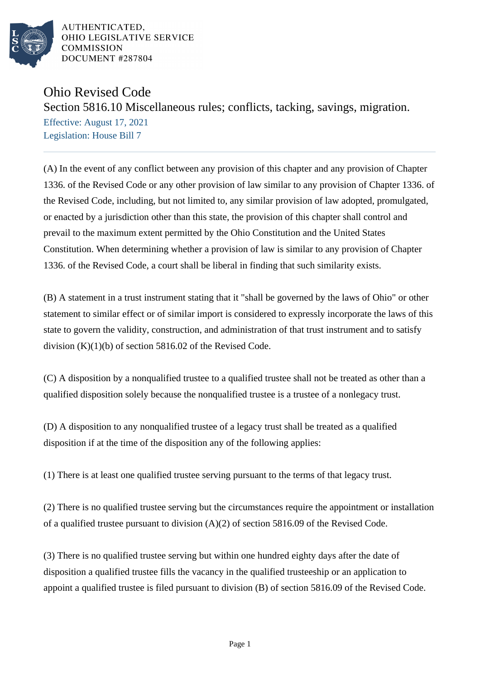

AUTHENTICATED. OHIO LEGISLATIVE SERVICE **COMMISSION** DOCUMENT #287804

## Ohio Revised Code

Section 5816.10 Miscellaneous rules; conflicts, tacking, savings, migration.

Effective: August 17, 2021 Legislation: House Bill 7

(A) In the event of any conflict between any provision of this chapter and any provision of Chapter 1336. of the Revised Code or any other provision of law similar to any provision of Chapter 1336. of the Revised Code, including, but not limited to, any similar provision of law adopted, promulgated, or enacted by a jurisdiction other than this state, the provision of this chapter shall control and prevail to the maximum extent permitted by the Ohio Constitution and the United States Constitution. When determining whether a provision of law is similar to any provision of Chapter 1336. of the Revised Code, a court shall be liberal in finding that such similarity exists.

(B) A statement in a trust instrument stating that it "shall be governed by the laws of Ohio" or other statement to similar effect or of similar import is considered to expressly incorporate the laws of this state to govern the validity, construction, and administration of that trust instrument and to satisfy division (K)(1)(b) of section 5816.02 of the Revised Code.

(C) A disposition by a nonqualified trustee to a qualified trustee shall not be treated as other than a qualified disposition solely because the nonqualified trustee is a trustee of a nonlegacy trust.

(D) A disposition to any nonqualified trustee of a legacy trust shall be treated as a qualified disposition if at the time of the disposition any of the following applies:

(1) There is at least one qualified trustee serving pursuant to the terms of that legacy trust.

(2) There is no qualified trustee serving but the circumstances require the appointment or installation of a qualified trustee pursuant to division (A)(2) of section 5816.09 of the Revised Code.

(3) There is no qualified trustee serving but within one hundred eighty days after the date of disposition a qualified trustee fills the vacancy in the qualified trusteeship or an application to appoint a qualified trustee is filed pursuant to division (B) of section 5816.09 of the Revised Code.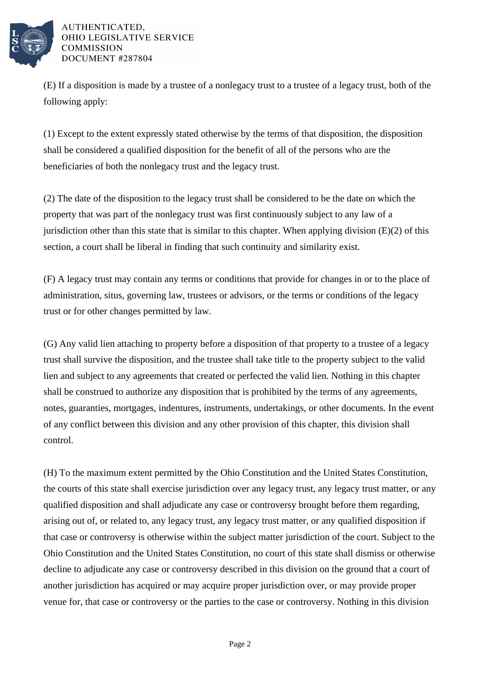

AUTHENTICATED, OHIO LEGISLATIVE SERVICE **COMMISSION** DOCUMENT #287804

(E) If a disposition is made by a trustee of a nonlegacy trust to a trustee of a legacy trust, both of the following apply:

(1) Except to the extent expressly stated otherwise by the terms of that disposition, the disposition shall be considered a qualified disposition for the benefit of all of the persons who are the beneficiaries of both the nonlegacy trust and the legacy trust.

(2) The date of the disposition to the legacy trust shall be considered to be the date on which the property that was part of the nonlegacy trust was first continuously subject to any law of a jurisdiction other than this state that is similar to this chapter. When applying division  $(E)(2)$  of this section, a court shall be liberal in finding that such continuity and similarity exist.

(F) A legacy trust may contain any terms or conditions that provide for changes in or to the place of administration, situs, governing law, trustees or advisors, or the terms or conditions of the legacy trust or for other changes permitted by law.

(G) Any valid lien attaching to property before a disposition of that property to a trustee of a legacy trust shall survive the disposition, and the trustee shall take title to the property subject to the valid lien and subject to any agreements that created or perfected the valid lien. Nothing in this chapter shall be construed to authorize any disposition that is prohibited by the terms of any agreements, notes, guaranties, mortgages, indentures, instruments, undertakings, or other documents. In the event of any conflict between this division and any other provision of this chapter, this division shall control.

(H) To the maximum extent permitted by the Ohio Constitution and the United States Constitution, the courts of this state shall exercise jurisdiction over any legacy trust, any legacy trust matter, or any qualified disposition and shall adjudicate any case or controversy brought before them regarding, arising out of, or related to, any legacy trust, any legacy trust matter, or any qualified disposition if that case or controversy is otherwise within the subject matter jurisdiction of the court. Subject to the Ohio Constitution and the United States Constitution, no court of this state shall dismiss or otherwise decline to adjudicate any case or controversy described in this division on the ground that a court of another jurisdiction has acquired or may acquire proper jurisdiction over, or may provide proper venue for, that case or controversy or the parties to the case or controversy. Nothing in this division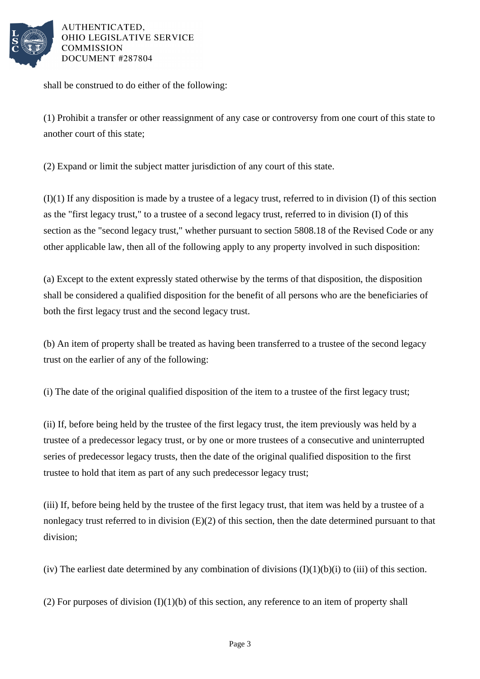

AUTHENTICATED. OHIO LEGISLATIVE SERVICE **COMMISSION** DOCUMENT #287804

shall be construed to do either of the following:

(1) Prohibit a transfer or other reassignment of any case or controversy from one court of this state to another court of this state;

(2) Expand or limit the subject matter jurisdiction of any court of this state.

(I)(1) If any disposition is made by a trustee of a legacy trust, referred to in division (I) of this section as the "first legacy trust," to a trustee of a second legacy trust, referred to in division (I) of this section as the "second legacy trust," whether pursuant to section 5808.18 of the Revised Code or any other applicable law, then all of the following apply to any property involved in such disposition:

(a) Except to the extent expressly stated otherwise by the terms of that disposition, the disposition shall be considered a qualified disposition for the benefit of all persons who are the beneficiaries of both the first legacy trust and the second legacy trust.

(b) An item of property shall be treated as having been transferred to a trustee of the second legacy trust on the earlier of any of the following:

(i) The date of the original qualified disposition of the item to a trustee of the first legacy trust;

(ii) If, before being held by the trustee of the first legacy trust, the item previously was held by a trustee of a predecessor legacy trust, or by one or more trustees of a consecutive and uninterrupted series of predecessor legacy trusts, then the date of the original qualified disposition to the first trustee to hold that item as part of any such predecessor legacy trust;

(iii) If, before being held by the trustee of the first legacy trust, that item was held by a trustee of a nonlegacy trust referred to in division (E)(2) of this section, then the date determined pursuant to that division;

(iv) The earliest date determined by any combination of divisions  $(I)(1)(b)(i)$  to (iii) of this section.

(2) For purposes of division  $(I)(1)(b)$  of this section, any reference to an item of property shall